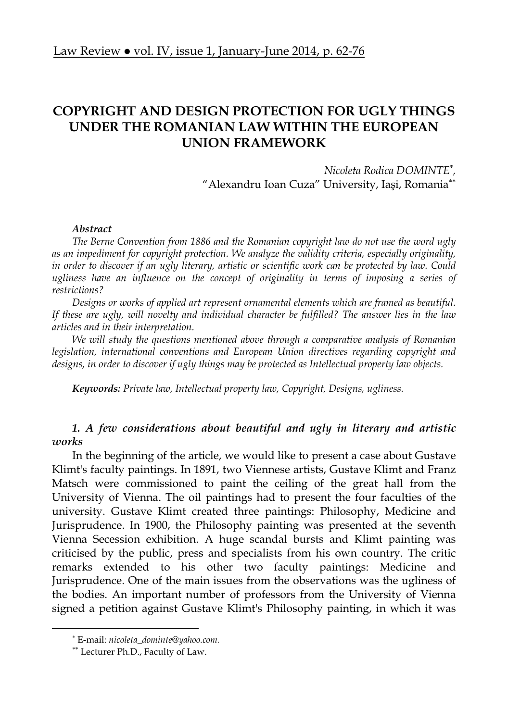# **COPYRIGHT AND DESIGN PROTECTION FOR UGLY THINGS UNDER THE ROMANIAN LAW WITHIN THE EUROPEAN UNION FRAMEWORK**

*Nicoleta Rodica DOMINTE ,*  "Alexandru Ioan Cuza" University, Iaşi, Romania

## *Abstract*

*The Berne Convention from 1886 and the Romanian copyright law do not use the word ugly as an impediment for copyright protection. We analyze the validity criteria, especially originality, in order to discover if an ugly literary, artistic or scientific work can be protected by law. Could*  ugliness have an influence on the concept of originality in terms of imposing a series of *restrictions?* 

*Designs or works of applied art represent ornamental elements which are framed as beautiful. If these are ugly, will novelty and individual character be fulfilled? The answer lies in the law articles and in their interpretation.* 

*We will study the questions mentioned above through a comparative analysis of Romanian legislation, international conventions and European Union directives regarding copyright and designs, in order to discover if ugly things may be protected as Intellectual property law objects.* 

*Keywords: Private law, Intellectual property law, Copyright, Designs, ugliness.* 

# *1. A few considerations about beautiful and ugly in literary and artistic works*

In the beginning of the article, we would like to present a case about Gustave Klimt's faculty paintings. In 1891, two Viennese artists, Gustave Klimt and Franz Matsch were commissioned to paint the ceiling of the great hall from the University of Vienna. The oil paintings had to present the four faculties of the university. Gustave Klimt created three paintings: Philosophy, Medicine and Jurisprudence. In 1900, the Philosophy painting was presented at the seventh Vienna Secession exhibition. A huge scandal bursts and Klimt painting was criticised by the public, press and specialists from his own country. The critic remarks extended to his other two faculty paintings: Medicine and Jurisprudence. One of the main issues from the observations was the ugliness of the bodies. An important number of professors from the University of Vienna signed a petition against Gustave Klimt's Philosophy painting, in which it was

 E-mail: *nicoleta\_dominte@yahoo.com.*

Lecturer Ph.D., Faculty of Law.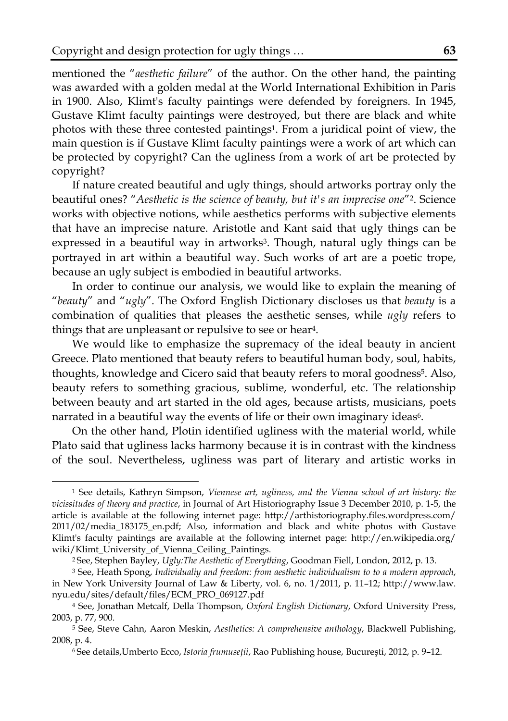mentioned the "*aesthetic failure*" of the author. On the other hand, the painting was awarded with a golden medal at the World International Exhibition in Paris in 1900. Also, Klimt's faculty paintings were defended by foreigners. In 1945, Gustave Klimt faculty paintings were destroyed, but there are black and white photos with these three contested paintings1. From a juridical point of view, the main question is if Gustave Klimt faculty paintings were a work of art which can be protected by copyright? Can the ugliness from a work of art be protected by copyright?

If nature created beautiful and ugly things, should artworks portray only the beautiful ones? "*Aesthetic is the science of beauty, but it's an imprecise one*"2. Science works with objective notions, while aesthetics performs with subjective elements that have an imprecise nature. Aristotle and Kant said that ugly things can be expressed in a beautiful way in artworks<sup>3</sup>. Though, natural ugly things can be portrayed in art within a beautiful way. Such works of art are a poetic trope, because an ugly subject is embodied in beautiful artworks.

In order to continue our analysis, we would like to explain the meaning of "*beauty*" and "*ugly*". The Oxford English Dictionary discloses us that *beauty* is a combination of qualities that pleases the aesthetic senses, while *ugly* refers to things that are unpleasant or repulsive to see or hear4.

We would like to emphasize the supremacy of the ideal beauty in ancient Greece. Plato mentioned that beauty refers to beautiful human body, soul, habits, thoughts, knowledge and Cicero said that beauty refers to moral goodness5. Also, beauty refers to something gracious, sublime, wonderful, etc. The relationship between beauty and art started in the old ages, because artists, musicians, poets narrated in a beautiful way the events of life or their own imaginary ideas<sup>6</sup>.

On the other hand, Plotin identified ugliness with the material world, while Plato said that ugliness lacks harmony because it is in contrast with the kindness of the soul. Nevertheless, ugliness was part of literary and artistic works in

 $\overline{a}$ 

<sup>1</sup> See details, Kathryn Simpson, *Viennese art, ugliness, and the Vienna school of art history: the vicissitudes of theory and practice*, in Journal of Art Historiography Issue 3 December 2010, p. 1-5, the article is available at the following internet page: http://arthistoriography.files.wordpress.com/ 2011/02/media\_183175\_en.pdf; Also, information and black and white photos with Gustave Klimt's faculty paintings are available at the following internet page: http://en.wikipedia.org/ wiki/Klimt\_University\_of\_Vienna\_Ceiling\_Paintings.

<sup>2</sup> See, Stephen Bayley, *Ugly:The Aesthetic of Everything*, Goodman Fiell, London, 2012, p. 13.

<sup>3</sup> See, Heath Spong, *Individualiy and freedom: from aesthetic individualism to to a modern approach*, in New York University Journal of Law & Liberty, vol. 6, no. 1/2011, p. 11–12; http://www.law. nyu.edu/sites/default/files/ECM\_PRO\_069127.pdf

<sup>4</sup> See, Jonathan Metcalf, Della Thompson, *Oxford English Dictionary*, Oxford University Press, 2003, p. 77, 900.

<sup>5</sup> See, Steve Cahn, Aaron Meskin, *Aesthetics: A comprehensive anthology*, Blackwell Publishing, 2008, p. 4.

<sup>6</sup> See details,Umberto Ecco, *Istoria frumuseţii*, Rao Publishing house, Bucureşti, 2012, p. 9–12.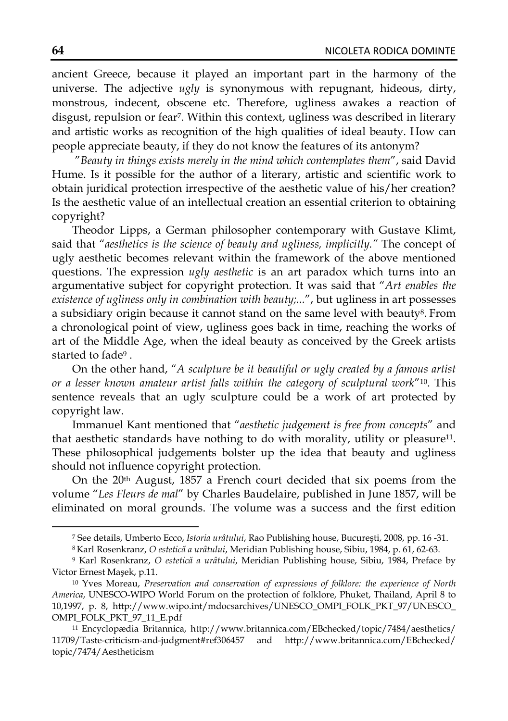ancient Greece, because it played an important part in the harmony of the universe. The adjective *ugly* is synonymous with repugnant, hideous, dirty, monstrous, indecent, obscene etc. Therefore, ugliness awakes a reaction of disgust, repulsion or fear<sup>7</sup>. Within this context, ugliness was described in literary and artistic works as recognition of the high qualities of ideal beauty. How can people appreciate beauty, if they do not know the features of its antonym?

"*Beauty in things exists merely in the mind which contemplates them*", said David Hume. Is it possible for the author of a literary, artistic and scientific work to obtain juridical protection irrespective of the aesthetic value of his/her creation? Is the aesthetic value of an intellectual creation an essential criterion to obtaining copyright?

Theodor Lipps, a German philosopher contemporary with Gustave Klimt, said that "*aesthetics is the science of beauty and ugliness, implicitly."* The concept of ugly aesthetic becomes relevant within the framework of the above mentioned questions. The expression *ugly aesthetic* is an art paradox which turns into an argumentative subject for copyright protection. It was said that "*Art enables the existence of ugliness only in combination with beauty;...*", but ugliness in art possesses a subsidiary origin because it cannot stand on the same level with beauty8. From a chronological point of view, ugliness goes back in time, reaching the works of art of the Middle Age, when the ideal beauty as conceived by the Greek artists started to fade9 .

On the other hand, "*A sculpture be it beautiful or ugly created by a famous artist or a lesser known amateur artist falls within the category of sculptural work*"10. This sentence reveals that an ugly sculpture could be a work of art protected by copyright law.

Immanuel Kant mentioned that "*aesthetic judgement is free from concepts*" and that aesthetic standards have nothing to do with morality, utility or pleasure<sup>11</sup>. These philosophical judgements bolster up the idea that beauty and ugliness should not influence copyright protection.

On the 20th August, 1857 a French court decided that six poems from the volume "*Les Fleurs de mal*" by Charles Baudelaire, published in June 1857, will be eliminated on moral grounds. The volume was a success and the first edition

l

<sup>7</sup> See details, Umberto Ecco, *Istoria urâtului*, Rao Publishing house, Bucureşti, 2008, pp. 16 -31.

<sup>8</sup> Karl Rosenkranz, *O estetică a urâtului*, Meridian Publishing house, Sibiu, 1984, p. 61, 62-63.

<sup>9</sup> Karl Rosenkranz, *O estetică a urâtului*, Meridian Publishing house, Sibiu, 1984, Preface by Victor Ernest Maşek, p.11.

<sup>10</sup> Yves Moreau, *Preservation and conservation of expressions of folklore: the experience of North America*, UNESCO-WIPO World Forum on the protection of folklore, Phuket, Thailand, April 8 to 10,1997, p. 8, http://www.wipo.int/mdocsarchives/UNESCO\_OMPI\_FOLK\_PKT\_97/UNESCO\_ OMPI\_FOLK\_PKT\_97\_11\_E.pdf

<sup>11</sup> Encyclopædia Britannica, http://www.britannica.com/EBchecked/topic/7484/aesthetics/ 11709/Taste-criticism-and-judgment#ref306457 and http://www.britannica.com/EBchecked/ topic/7474/Aestheticism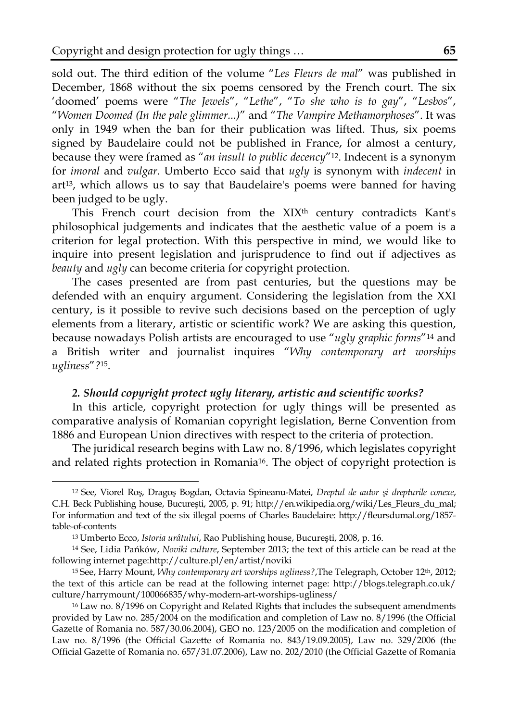sold out. The third edition of the volume "*Les Fleurs de mal*" was published in December, 1868 without the six poems censored by the French court. The six 'doomed' poems were "*The Jewels*", "*Lethe*", "*To she who is to gay*", "*Lesbos*", "*Women Doomed (In the pale glimmer...)*" and "*The Vampire Methamorphoses*". It was only in 1949 when the ban for their publication was lifted. Thus, six poems signed by Baudelaire could not be published in France, for almost a century, because they were framed as "*an insult to public decency*"12. Indecent is a synonym for *imoral* and *vulgar*. Umberto Ecco said that *ugly* is synonym with *indecent* in art13, which allows us to say that Baudelaire's poems were banned for having been judged to be ugly.

This French court decision from the XIX<sup>th</sup> century contradicts Kant's philosophical judgements and indicates that the aesthetic value of a poem is a criterion for legal protection. With this perspective in mind, we would like to inquire into present legislation and jurisprudence to find out if adjectives as *beauty* and *ugly* can become criteria for copyright protection.

The cases presented are from past centuries, but the questions may be defended with an enquiry argument. Considering the legislation from the XXI century, is it possible to revive such decisions based on the perception of ugly elements from a literary, artistic or scientific work? We are asking this question, because nowadays Polish artists are encouraged to use "*ugly graphic forms*"14 and a British writer and journalist inquires "*Why contemporary art worships ugliness*"*?*15.

#### *2. Should copyright protect ugly literary, artistic and scientific works?*

In this article, copyright protection for ugly things will be presented as comparative analysis of Romanian copyright legislation, Berne Convention from 1886 and European Union directives with respect to the criteria of protection.

The juridical research begins with Law no. 8/1996, which legislates copyright and related rights protection in Romania16. The object of copyright protection is

 $\overline{a}$ 

<sup>12</sup> See, Viorel Roş, Dragoş Bogdan, Octavia Spineanu-Matei, *Dreptul de autor şi drepturile conexe*, C.H. Beck Publishing house, Bucureşti, 2005, p. 91; http://en.wikipedia.org/wiki/Les\_Fleurs\_du\_mal; For information and text of the six illegal poems of Charles Baudelaire: http://fleursdumal.org/1857 table-of-contents

<sup>13</sup> Umberto Ecco, *Istoria urâtului*, Rao Publishing house, Bucureşti, 2008, p. 16.

<sup>14</sup> See, Lidia Pańków, *Noviki culture*, September 2013; the text of this article can be read at the following internet page:http://culture.pl/en/artist/noviki

<sup>15</sup> See, Harry Mount, *Why contemporary art worships ugliness?*,The Telegraph, October 12th, 2012; the text of this article can be read at the following internet page: http://blogs.telegraph.co.uk/ culture/harrymount/100066835/why-modern-art-worships-ugliness/

<sup>16</sup> Law no. 8/1996 on Copyright and Related Rights that includes the subsequent amendments provided by Law no. 285/2004 on the modification and completion of Law no. 8/1996 (the Official Gazette of Romania no. 587/30.06.2004), GEO no. 123/2005 on the modification and completion of Law no. 8/1996 (the Official Gazette of Romania no. 843/19.09.2005), Law no. 329/2006 (the Official Gazette of Romania no. 657/31.07.2006), Law no. 202/2010 (the Official Gazette of Romania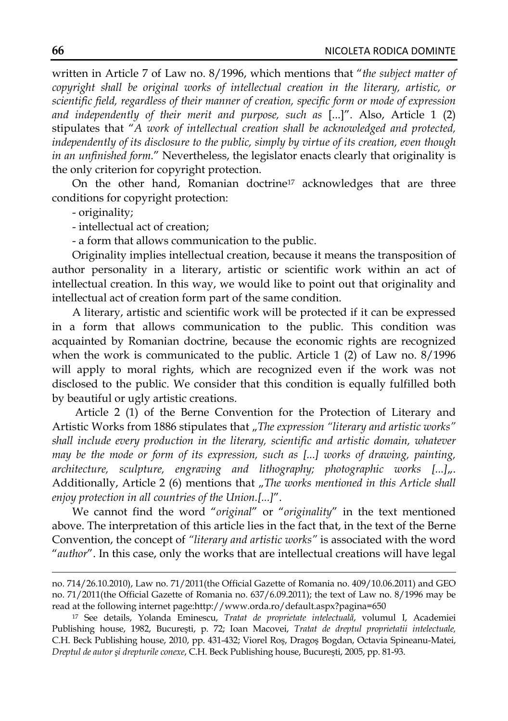written in Article 7 of Law no. 8/1996, which mentions that "*the subject matter of copyright shall be original works of intellectual creation in the literary, artistic, or scientific field, regardless of their manner of creation, specific form or mode of expression and independently of their merit and purpose, such as* [...]". Also, Article 1 (2) stipulates that "*A work of intellectual creation shall be acknowledged and protected, independently of its disclosure to the public, simply by virtue of its creation, even though in an unfinished form.*" Nevertheless, the legislator enacts clearly that originality is the only criterion for copyright protection.

On the other hand, Romanian doctrine17 acknowledges that are three conditions for copyright protection:

- originality;

- intellectual act of creation;

- a form that allows communication to the public.

Originality implies intellectual creation, because it means the transposition of author personality in a literary, artistic or scientific work within an act of intellectual creation. In this way, we would like to point out that originality and intellectual act of creation form part of the same condition.

A literary, artistic and scientific work will be protected if it can be expressed in a form that allows communication to the public. This condition was acquainted by Romanian doctrine, because the economic rights are recognized when the work is communicated to the public. Article 1 (2) of Law no. 8/1996 will apply to moral rights, which are recognized even if the work was not disclosed to the public. We consider that this condition is equally fulfilled both by beautiful or ugly artistic creations.

 Article 2 (1) of the Berne Convention for the Protection of Literary and Artistic Works from 1886 stipulates that "The expression "literary and artistic works" *shall include every production in the literary, scientific and artistic domain, whatever may be the mode or form of its expression, such as [...] works of drawing, painting,*  architecture, sculpture, engraving and lithography; photographic works [...]<sub>n</sub>. Additionally, Article 2 (6) mentions that "The works mentioned in this Article shall *enjoy protection in all countries of the Union.[...]*".

We cannot find the word "*original*" or "*originality*" in the text mentioned above. The interpretation of this article lies in the fact that, in the text of the Berne Convention, the concept of *"literary and artistic works"* is associated with the word "*author*". In this case, only the works that are intellectual creations will have legal

no. 714/26.10.2010), Law no. 71/2011(the Official Gazette of Romania no. 409/10.06.2011) and GEO no. 71/2011(the Official Gazette of Romania no. 637/6.09.2011); the text of Law no. 8/1996 may be read at the following internet page:http://www.orda.ro/default.aspx?pagina=650

<sup>17</sup> See details, Yolanda Eminescu, *Tratat de proprietate intelectuală*, volumul I, Academiei Publishing house, 1982, Bucureşti, p. 72; Ioan Macovei, *Tratat de dreptul proprietatii intelectuale,* C.H. Beck Publishing house, 2010, pp. 431-432; Viorel Roş, Dragoş Bogdan, Octavia Spineanu-Matei, *Dreptul de autor şi drepturile conexe*, C.H. Beck Publishing house, Bucureşti, 2005, pp. 81-93.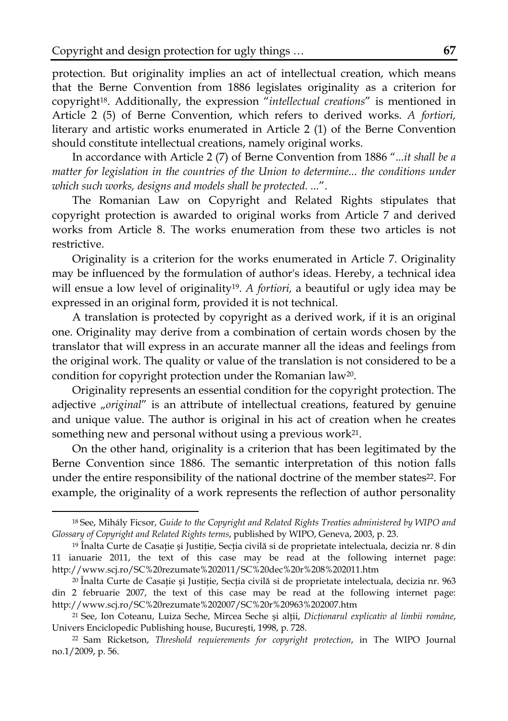protection. But originality implies an act of intellectual creation, which means that the Berne Convention from 1886 legislates originality as a criterion for copyright18. Additionally, the expression "*intellectual creations*" is mentioned in Article 2 (5) of Berne Convention, which refers to derived works. *A fortiori,* literary and artistic works enumerated in Article 2 (1) of the Berne Convention should constitute intellectual creations, namely original works.

In accordance with Article 2 (7) of Berne Convention from 1886 ".*..it shall be a matter for legislation in the countries of the Union to determine... the conditions under which such works, designs and models shall be protected. ...*".

The Romanian Law on Copyright and Related Rights stipulates that copyright protection is awarded to original works from Article 7 and derived works from Article 8. The works enumeration from these two articles is not restrictive.

Originality is a criterion for the works enumerated in Article 7. Originality may be influenced by the formulation of author's ideas. Hereby, a technical idea will ensue a low level of originality19. *A fortiori,* a beautiful or ugly idea may be expressed in an original form, provided it is not technical.

A translation is protected by copyright as a derived work, if it is an original one. Originality may derive from a combination of certain words chosen by the translator that will express in an accurate manner all the ideas and feelings from the original work. The quality or value of the translation is not considered to be a condition for copyright protection under the Romanian law20.

Originality represents an essential condition for the copyright protection. The adjective "*original*" is an attribute of intellectual creations, featured by genuine and unique value. The author is original in his act of creation when he creates something new and personal without using a previous work<sup>21</sup>.

On the other hand, originality is a criterion that has been legitimated by the Berne Convention since 1886. The semantic interpretation of this notion falls under the entire responsibility of the national doctrine of the member states<sup>22</sup>. For example, the originality of a work represents the reflection of author personality

<sup>18</sup> See, Mihály Ficsor, *Guide to the Copyright and Related Rights Treaties administered by WIPO and Glossary of Copyright and Related Rights terms*, published by WIPO, Geneva, 2003, p. 23.

<sup>19</sup> Înalta Curte de Casaţie şi Justiţie, Secţia civilă si de proprietate intelectuala, decizia nr. 8 din 11 ianuarie 2011, the text of this case may be read at the following internet page: http://www.scj.ro/SC%20rezumate%202011/SC%20dec%20r%208%202011.htm

<sup>20</sup> Înalta Curte de Casaţie şi Justiţie, Secţia civilă si de proprietate intelectuala, decizia nr. 963 din 2 februarie 2007, the text of this case may be read at the following internet page: http://www.scj.ro/SC%20rezumate%202007/SC%20r%20963%202007.htm

<sup>21</sup> See, Ion Coteanu, Luiza Seche, Mircea Seche şi alţii, *Dicţionarul explicativ al limbii române*, Univers Enciclopedic Publishing house, Bucureşti, 1998, p. 728.

<sup>22</sup> Sam Ricketson, *Threshold requierements for copyright protection*, in The WIPO Journal no.1/2009, p. 56.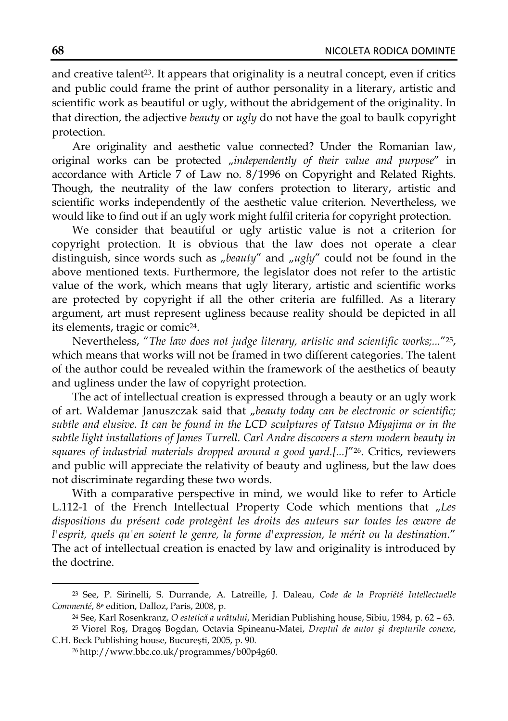and creative talent<sup>23</sup>. It appears that originality is a neutral concept, even if critics and public could frame the print of author personality in a literary, artistic and scientific work as beautiful or ugly, without the abridgement of the originality. In that direction, the adjective *beauty* or *ugly* do not have the goal to baulk copyright protection.

Are originality and aesthetic value connected? Under the Romanian law, original works can be protected "independently of their value and purpose" in accordance with Article 7 of Law no. 8/1996 on Copyright and Related Rights. Though, the neutrality of the law confers protection to literary, artistic and scientific works independently of the aesthetic value criterion. Nevertheless, we would like to find out if an ugly work might fulfil criteria for copyright protection.

We consider that beautiful or ugly artistic value is not a criterion for copyright protection. It is obvious that the law does not operate a clear distinguish, since words such as "beauty" and "ugly" could not be found in the above mentioned texts. Furthermore, the legislator does not refer to the artistic value of the work, which means that ugly literary, artistic and scientific works are protected by copyright if all the other criteria are fulfilled. As a literary argument, art must represent ugliness because reality should be depicted in all its elements, tragic or comic24.

Nevertheless, "*The law does not judge literary, artistic and scientific works;...*"25, which means that works will not be framed in two different categories. The talent of the author could be revealed within the framework of the aesthetics of beauty and ugliness under the law of copyright protection.

The act of intellectual creation is expressed through a beauty or an ugly work of art. Waldemar Januszczak said that "beauty today can be electronic or scientific; *subtle and elusive. It can be found in the LCD sculptures of Tatsuo Miyajima or in the subtle light installations of James Turrell. Carl Andre discovers a stern modern beauty in squares of industrial materials dropped around a good yard.[...]*"26. Critics, reviewers and public will appreciate the relativity of beauty and ugliness, but the law does not discriminate regarding these two words.

With a comparative perspective in mind, we would like to refer to Article L.112-1 of the French Intellectual Property Code which mentions that "Les *dispositions du présent code protegènt les droits des auteurs sur toutes les œuvre de l'esprit, quels qu'en soient le genre, la forme d'expression, le mérit ou la destination.*" The act of intellectual creation is enacted by law and originality is introduced by the doctrine.

<sup>23</sup> See, P. Sirinelli, S. Durrande, A. Latreille, J. Daleau, *Code de la Propriété Intellectuelle Commenté*, 8e edition, Dalloz, Paris, 2008, p.

<sup>24</sup> See, Karl Rosenkranz, *O estetică a urâtului*, Meridian Publishing house, Sibiu, 1984, p. 62 – 63.

<sup>25</sup> Viorel Roş, Dragoş Bogdan, Octavia Spineanu-Matei, *Dreptul de autor şi drepturile conexe*, C.H. Beck Publishing house, Bucureşti, 2005, p. 90.

<sup>26</sup> http://www.bbc.co.uk/programmes/b00p4g60.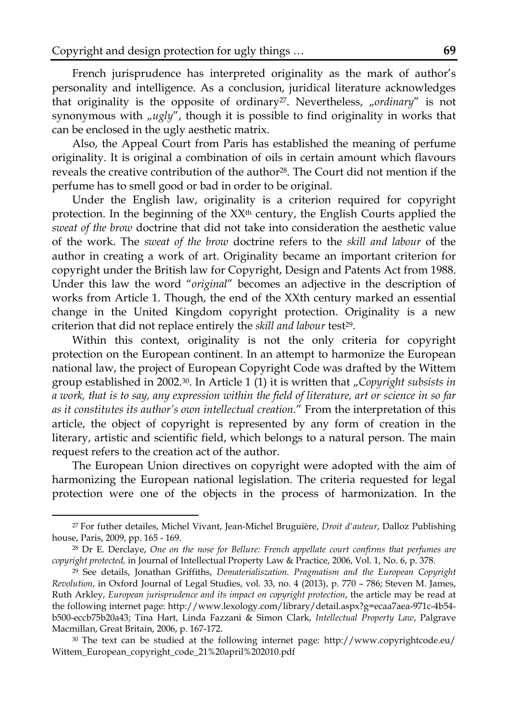French jurisprudence has interpreted originality as the mark of author's personality and intelligence. As a conclusion, juridical literature acknowledges that originality is the opposite of ordinary<sup>27</sup>. Nevertheless, "ordinary" is not synonymous with  $\mu$ ugly", though it is possible to find originality in works that can be enclosed in the ugly aesthetic matrix.

Also, the Appeal Court from Paris has established the meaning of perfume originality. It is original a combination of oils in certain amount which flavours reveals the creative contribution of the author<sup>28</sup>. The Court did not mention if the perfume has to smell good or bad in order to be original.

Under the English law, originality is a criterion required for copyright protection. In the beginning of the XXth century, the English Courts applied the *sweat of the brow* doctrine that did not take into consideration the aesthetic value of the work. The *sweat of the brow* doctrine refers to the *skill and labour* of the author in creating a work of art. Originality became an important criterion for copyright under the British law for Copyright, Design and Patents Act from 1988. Under this law the word "*original*" becomes an adjective in the description of works from Article 1. Though, the end of the XXth century marked an essential change in the United Kingdom copyright protection. Originality is a new criterion that did not replace entirely the *skill and labour* test<sup>29</sup>.

Within this context, originality is not the only criteria for copyright protection on the European continent. In an attempt to harmonize the European national law, the project of European Copyright Code was drafted by the Wittem group established in 2002.30. In Article 1 (1) it is written that "*Copyright subsists in a work, that is to say, any expression within the field of literature, art or science in so far as it constitutes its author's own intellectual creation.*" From the interpretation of this article, the object of copyright is represented by any form of creation in the literary, artistic and scientific field, which belongs to a natural person. The main request refers to the creation act of the author.

The European Union directives on copyright were adopted with the aim of harmonizing the European national legislation. The criteria requested for legal protection were one of the objects in the process of harmonization. In the

<sup>27</sup> For futher detailes, Michel Vivant, Jean-Michel Bruguière, *Droit d'auteur*, Dalloz Publishing house, Paris, 2009, pp. 165 - 169.

<sup>28</sup> Dr E. Derclaye, *One on the nose for Bellure: French appellate court confirms that perfumes are copyright protected,* in Journal of Intellectual Property Law & Practice, 2006, Vol. 1, No. 6, p. 378.

<sup>29</sup> See details, Jonathan Griffiths, *Dematerialiszation. Pragmatism and the European Copyright Revolution*, in Oxford Journal of Legal Studies, vol. 33, no. 4 (2013), p. 770 – 786; Steven M. James, Ruth Arkley, *European jurisprudence and its impact on copyright protection*, the article may be read at the following internet page: http://www.lexology.com/library/detail.aspx?g=ecaa7aea-971c-4b54 b500-eccb75b20a43; Tina Hart, Linda Fazzani & Simon Clark, *Intellectual Property Law*, Palgrave Macmillan, Great Britain, 2006, p. 167-172.

<sup>30</sup> The text can be studied at the following internet page: http://www.copyrightcode.eu/ Wittem\_European\_copyright\_code\_21%20april%202010.pdf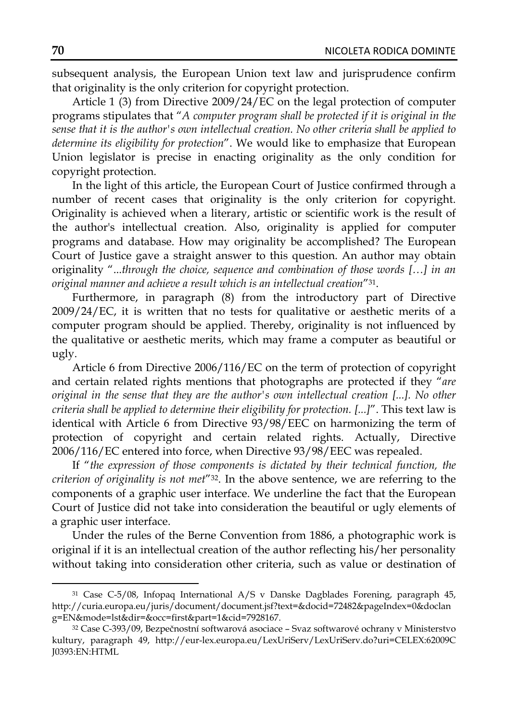subsequent analysis, the European Union text law and jurisprudence confirm that originality is the only criterion for copyright protection.

Article 1 (3) from Directive 2009/24/EC on the legal protection of computer programs stipulates that "*A computer program shall be protected if it is original in the sense that it is the author's own intellectual creation. No other criteria shall be applied to determine its eligibility for protection*". We would like to emphasize that European Union legislator is precise in enacting originality as the only condition for copyright protection.

In the light of this article, the European Court of Justice confirmed through a number of recent cases that originality is the only criterion for copyright. Originality is achieved when a literary, artistic or scientific work is the result of the author's intellectual creation. Also, originality is applied for computer programs and database. How may originality be accomplished? The European Court of Justice gave a straight answer to this question. An author may obtain originality "...*through the choice, sequence and combination of those words […] in an original manner and achieve a result which is an intellectual creation*"31.

Furthermore, in paragraph (8) from the introductory part of Directive 2009/24/EC, it is written that no tests for qualitative or aesthetic merits of a computer program should be applied. Thereby, originality is not influenced by the qualitative or aesthetic merits, which may frame a computer as beautiful or ugly.

Article 6 from Directive 2006/116/EC on the term of protection of copyright and certain related rights mentions that photographs are protected if they "*are original in the sense that they are the author's own intellectual creation [...]. No other criteria shall be applied to determine their eligibility for protection. [...]*". This text law is identical with Article 6 from Directive 93/98/EEC on harmonizing the term of protection of copyright and certain related rights. Actually, Directive 2006/116/EC entered into force, when Directive 93/98/EEC was repealed.

If "*the expression of those components is dictated by their technical function, the criterion of originality is not met*"32. In the above sentence, we are referring to the components of a graphic user interface. We underline the fact that the European Court of Justice did not take into consideration the beautiful or ugly elements of a graphic user interface.

Under the rules of the Berne Convention from 1886, a photographic work is original if it is an intellectual creation of the author reflecting his/her personality without taking into consideration other criteria, such as value or destination of

<sup>31</sup> Case C-5/08, Infopaq International A/S v Danske Dagblades Forening, paragraph 45, http://curia.europa.eu/juris/document/document.jsf?text=&docid=72482&pageIndex=0&doclan g=EN&mode=lst&dir=&occ=first&part=1&cid=7928167.

<sup>32</sup> Case C-393/09, Bezpečnostní softwarová asociace – Svaz softwarové ochrany v Ministerstvo kultury, paragraph 49, http://eur-lex.europa.eu/LexUriServ/LexUriServ.do?uri=CELEX:62009C J0393:EN:HTML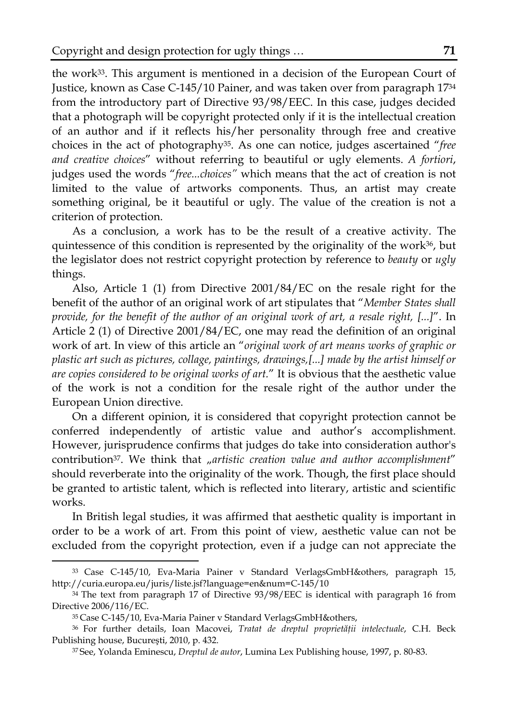the work33. This argument is mentioned in a decision of the European Court of Justice, known as Case C-145/10 Painer, and was taken over from paragraph 1734 from the introductory part of Directive 93/98/EEC. In this case, judges decided that a photograph will be copyright protected only if it is the intellectual creation of an author and if it reflects his/her personality through free and creative choices in the act of photography35. As one can notice, judges ascertained "*free and creative choices*" without referring to beautiful or ugly elements. *A fortiori*, judges used the words "*free...choices"* which means that the act of creation is not limited to the value of artworks components. Thus, an artist may create something original, be it beautiful or ugly. The value of the creation is not a criterion of protection.

As a conclusion, a work has to be the result of a creative activity. The quintessence of this condition is represented by the originality of the work36, but the legislator does not restrict copyright protection by reference to *beauty* or *ugly* things.

Also, Article 1 (1) from Directive 2001/84/EC on the resale right for the benefit of the author of an original work of art stipulates that "*Member States shall provide, for the benefit of the author of an original work of art, a resale right, [...]*". In Article 2 (1) of Directive 2001/84/EC, one may read the definition of an original work of art. In view of this article an "*original work of art means works of graphic or plastic art such as pictures, collage, paintings, drawings,[...] made by the artist himself or are copies considered to be original works of art.*" It is obvious that the aesthetic value of the work is not a condition for the resale right of the author under the European Union directive.

On a different opinion, it is considered that copyright protection cannot be conferred independently of artistic value and author's accomplishment. However, jurisprudence confirms that judges do take into consideration author's contribution<sup>37</sup>. We think that "artistic creation value and author accomplishment" should reverberate into the originality of the work. Though, the first place should be granted to artistic talent, which is reflected into literary, artistic and scientific works.

In British legal studies, it was affirmed that aesthetic quality is important in order to be a work of art. From this point of view, aesthetic value can not be excluded from the copyright protection, even if a judge can not appreciate the

<sup>33</sup> Case C-145/10, Eva-Maria Painer v Standard VerlagsGmbH&others, paragraph 15, http://curia.europa.eu/juris/liste.jsf?language=en&num=C-145/10

<sup>34</sup> The text from paragraph 17 of Directive 93/98/EEC is identical with paragraph 16 from Directive 2006/116/EC.

<sup>35</sup> Case C-145/10, Eva-Maria Painer v Standard VerlagsGmbH&others,

<sup>36</sup> For further details, Ioan Macovei, *Tratat de dreptul proprietăţii intelectuale*, C.H. Beck Publishing house, Bucureşti, 2010, p. 432.

<sup>37</sup> See, Yolanda Eminescu, *Dreptul de autor*, Lumina Lex Publishing house, 1997, p. 80-83.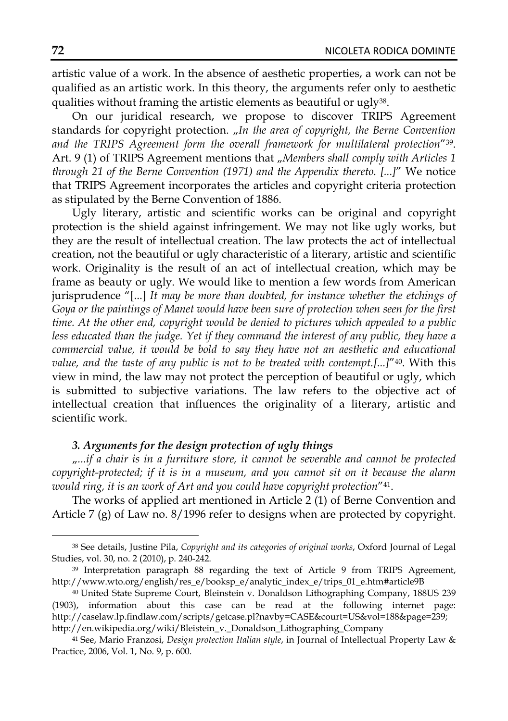artistic value of a work. In the absence of aesthetic properties, a work can not be qualified as an artistic work. In this theory, the arguments refer only to aesthetic qualities without framing the artistic elements as beautiful or ugly<sup>38</sup>.

On our juridical research, we propose to discover TRIPS Agreement standards for copyright protection. "In the area of copyright, the Berne Convention *and the TRIPS Agreement form the overall framework for multilateral protection*"39. Art. 9 (1) of TRIPS Agreement mentions that "Members shall comply with Articles 1 *through 21 of the Berne Convention (1971) and the Appendix thereto. [...]*" We notice that TRIPS Agreement incorporates the articles and copyright criteria protection as stipulated by the Berne Convention of 1886.

Ugly literary, artistic and scientific works can be original and copyright protection is the shield against infringement. We may not like ugly works, but they are the result of intellectual creation. The law protects the act of intellectual creation, not the beautiful or ugly characteristic of a literary, artistic and scientific work. Originality is the result of an act of intellectual creation, which may be frame as beauty or ugly. We would like to mention a few words from American jurisprudence "[...] *It may be more than doubted, for instance whether the etchings of Goya or the paintings of Manet would have been sure of protection when seen for the first time. At the other end, copyright would be denied to pictures which appealed to a public*  less educated than the judge. Yet if they command the interest of any public, they have a *commercial value, it would be bold to say they have not an aesthetic and educational value, and the taste of any public is not to be treated with contempt.[...]*"40. With this view in mind, the law may not protect the perception of beautiful or ugly, which is submitted to subjective variations. The law refers to the objective act of intellectual creation that influences the originality of a literary, artistic and scientific work.

## *3. Arguments for the design protection of ugly things*

"*...if a chair is in a furniture store, it cannot be severable and cannot be protected copyright-protected; if it is in a museum, and you cannot sit on it because the alarm would ring, it is an work of Art and you could have copyright protection*"41.

The works of applied art mentioned in Article 2 (1) of Berne Convention and Article 7 (g) of Law no. 8/1996 refer to designs when are protected by copyright.

<sup>38</sup> See details, Justine Pila, *Copyright and its categories of original works*, Oxford Journal of Legal Studies, vol. 30, no. 2 (2010), p. 240-242.

<sup>39</sup> Interpretation paragraph 88 regarding the text of Article 9 from TRIPS Agreement, http://www.wto.org/english/res\_e/booksp\_e/analytic\_index\_e/trips\_01\_e.htm#article9B

<sup>40</sup> United State Supreme Court, Bleinstein v. Donaldson Lithographing Company, 188US 239 (1903), information about this case can be read at the following internet page: http://caselaw.lp.findlaw.com/scripts/getcase.pl?navby=CASE&court=US&vol=188&page=239; http://en.wikipedia.org/wiki/Bleistein\_v.\_Donaldson\_Lithographing\_Company

<sup>41</sup> See, Mario Franzosi, *Design protection Italian style*, in Journal of Intellectual Property Law & Practice, 2006, Vol. 1, No. 9, p. 600.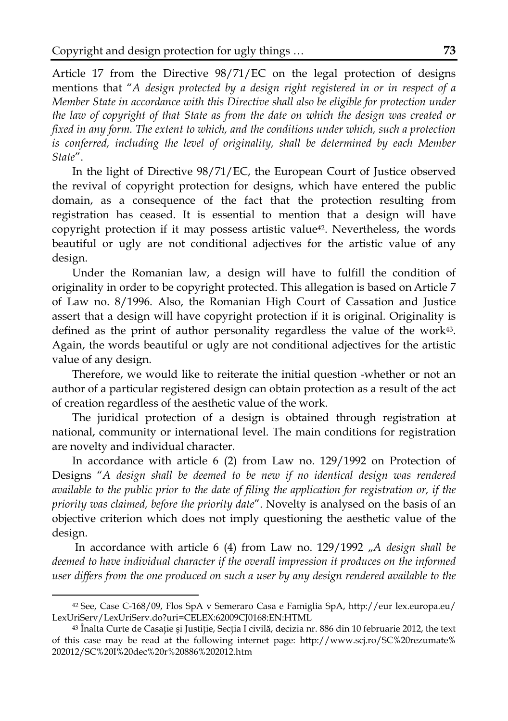Article 17 from the Directive 98/71/EC on the legal protection of designs mentions that "*A design protected by a design right registered in or in respect of a Member State in accordance with this Directive shall also be eligible for protection under the law of copyright of that State as from the date on which the design was created or fixed in any form. The extent to which, and the conditions under which, such a protection*  is conferred, including the level of originality, shall be determined by each Member *State*".

In the light of Directive 98/71/EC, the European Court of Justice observed the revival of copyright protection for designs, which have entered the public domain, as a consequence of the fact that the protection resulting from registration has ceased. It is essential to mention that a design will have copyright protection if it may possess artistic value42. Nevertheless, the words beautiful or ugly are not conditional adjectives for the artistic value of any design.

Under the Romanian law, a design will have to fulfill the condition of originality in order to be copyright protected. This allegation is based on Article 7 of Law no. 8/1996. Also, the Romanian High Court of Cassation and Justice assert that a design will have copyright protection if it is original. Originality is defined as the print of author personality regardless the value of the work<sup>43</sup>. Again, the words beautiful or ugly are not conditional adjectives for the artistic value of any design.

Therefore, we would like to reiterate the initial question -whether or not an author of a particular registered design can obtain protection as a result of the act of creation regardless of the aesthetic value of the work.

The juridical protection of a design is obtained through registration at national, community or international level. The main conditions for registration are novelty and individual character.

In accordance with article 6 (2) from Law no. 129/1992 on Protection of Designs "*A design shall be deemed to be new if no identical design was rendered available to the public prior to the date of filing the application for registration or, if the priority was claimed, before the priority date*". Novelty is analysed on the basis of an objective criterion which does not imply questioning the aesthetic value of the design.

In accordance with article 6 (4) from Law no. 129/1992 "A design shall be *deemed to have individual character if the overall impression it produces on the informed user differs from the one produced on such a user by any design rendered available to the* 

<sup>42</sup> See, Case C-168/09, Flos SpA v Semeraro Casa e Famiglia SpA, http://eur lex.europa.eu/ LexUriServ/LexUriServ.do?uri=CELEX:62009CJ0168:EN:HTML

<sup>&</sup>lt;sup>43</sup> Înalta Curte de Casație și Justiție, Secția I civilă, decizia nr. 886 din 10 februarie 2012, the text of this case may be read at the following internet page: http://www.scj.ro/SC%20rezumate% 202012/SC%20I%20dec%20r%20886%202012.htm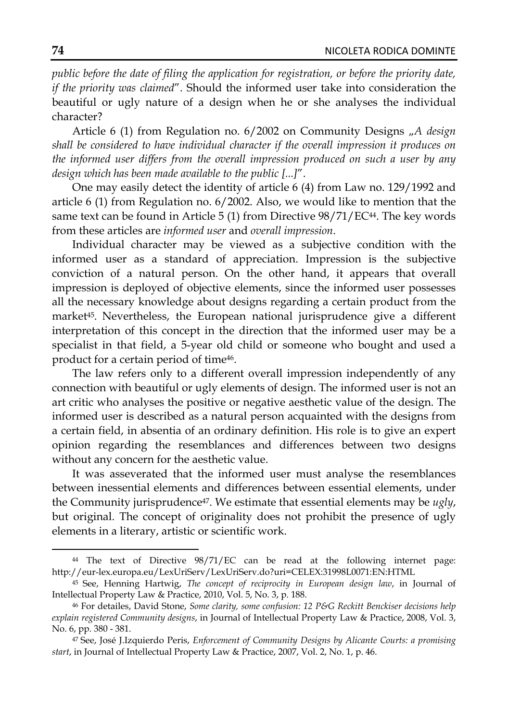*public before the date of filing the application for registration, or before the priority date, if the priority was claimed*". Should the informed user take into consideration the beautiful or ugly nature of a design when he or she analyses the individual character?

Article 6 (1) from Regulation no. 6/2002 on Community Designs "*A design shall be considered to have individual character if the overall impression it produces on the informed user differs from the overall impression produced on such a user by any design which has been made available to the public [...]*".

One may easily detect the identity of article 6 (4) from Law no. 129/1992 and article 6 (1) from Regulation no. 6/2002. Also, we would like to mention that the same text can be found in Article 5 (1) from Directive  $98/71/EC^{44}$ . The key words from these articles are *informed user* and *overall impression*.

Individual character may be viewed as a subjective condition with the informed user as a standard of appreciation. Impression is the subjective conviction of a natural person. On the other hand, it appears that overall impression is deployed of objective elements, since the informed user possesses all the necessary knowledge about designs regarding a certain product from the market45. Nevertheless, the European national jurisprudence give a different interpretation of this concept in the direction that the informed user may be a specialist in that field, a 5-year old child or someone who bought and used a product for a certain period of time46.

The law refers only to a different overall impression independently of any connection with beautiful or ugly elements of design. The informed user is not an art critic who analyses the positive or negative aesthetic value of the design. The informed user is described as a natural person acquainted with the designs from a certain field, in absentia of an ordinary definition. His role is to give an expert opinion regarding the resemblances and differences between two designs without any concern for the aesthetic value.

It was asseverated that the informed user must analyse the resemblances between inessential elements and differences between essential elements, under the Community jurisprudence47. We estimate that essential elements may be *ugly*, but original. The concept of originality does not prohibit the presence of ugly elements in a literary, artistic or scientific work.

<sup>44</sup> The text of Directive 98/71/EC can be read at the following internet page: http://eur-lex.europa.eu/LexUriServ/LexUriServ.do?uri=CELEX:31998L0071:EN:HTML

<sup>45</sup> See, Henning Hartwig, *The concept of reciprocity in European design law*, in Journal of Intellectual Property Law & Practice, 2010, Vol. 5, No. 3, p. 188.

<sup>46</sup> For detailes, David Stone, *Some clarity, some confusion: 12 P&G Reckitt Benckiser decisions help explain registered Community designs*, in Journal of Intellectual Property Law & Practice, 2008, Vol. 3, No. 6, pp. 380 - 381.

<sup>47</sup> See, José J.Izquierdo Peris, *Enforcement of Community Designs by Alicante Courts: a promising start*, in Journal of Intellectual Property Law & Practice, 2007, Vol. 2, No. 1, p. 46.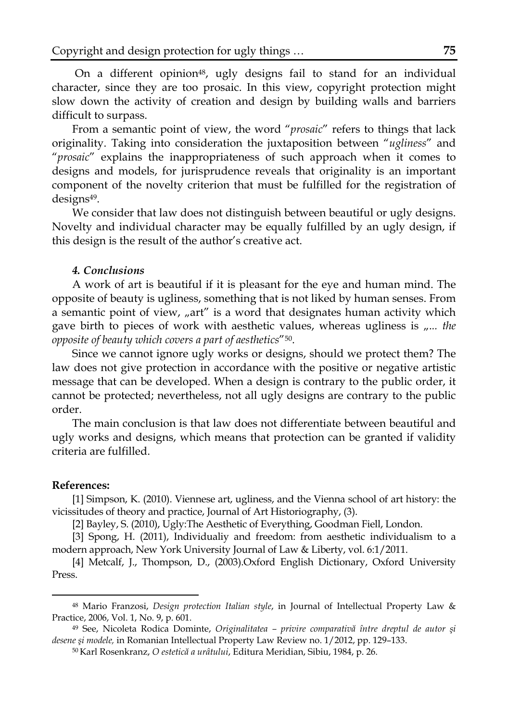On a different opinion<sup>48</sup>, ugly designs fail to stand for an individual character, since they are too prosaic. In this view, copyright protection might slow down the activity of creation and design by building walls and barriers difficult to surpass.

From a semantic point of view, the word "*prosaic*" refers to things that lack originality. Taking into consideration the juxtaposition between "*ugliness*" and "*prosaic*" explains the inappropriateness of such approach when it comes to designs and models, for jurisprudence reveals that originality is an important component of the novelty criterion that must be fulfilled for the registration of designs49.

We consider that law does not distinguish between beautiful or ugly designs. Novelty and individual character may be equally fulfilled by an ugly design, if this design is the result of the author's creative act.

#### *4. Conclusions*

A work of art is beautiful if it is pleasant for the eye and human mind. The opposite of beauty is ugliness, something that is not liked by human senses. From a semantic point of view, "art" is a word that designates human activity which gave birth to pieces of work with aesthetic values, whereas ugliness is  $, ...$  the *opposite of beauty which covers a part of aesthetics*"50.

Since we cannot ignore ugly works or designs, should we protect them? The law does not give protection in accordance with the positive or negative artistic message that can be developed. When a design is contrary to the public order, it cannot be protected; nevertheless, not all ugly designs are contrary to the public order.

The main conclusion is that law does not differentiate between beautiful and ugly works and designs, which means that protection can be granted if validity criteria are fulfilled.

#### **References:**

 $\overline{\phantom{a}}$ 

[1] Simpson, K. (2010). Viennese art, ugliness, and the Vienna school of art history: the vicissitudes of theory and practice, Journal of Art Historiography, (3).

[2] Bayley, S. (2010), Ugly:The Aesthetic of Everything, Goodman Fiell, London.

[3] Spong, H. (2011), Individualiy and freedom: from aesthetic individualism to a modern approach, New York University Journal of Law & Liberty, vol. 6:1/2011.

[4] Metcalf, J., Thompson, D., (2003).Oxford English Dictionary, Oxford University Press.

<sup>48</sup> Mario Franzosi, *Design protection Italian style*, in Journal of Intellectual Property Law & Practice, 2006, Vol. 1, No. 9, p. 601.

<sup>49</sup> See, Nicoleta Rodica Dominte, *Originalitatea – privire comparativă între dreptul de autor şi desene şi modele,* in Romanian Intellectual Property Law Review no. 1/2012, pp. 129–133.

<sup>50</sup> Karl Rosenkranz, *O estetică a urâtului*, Editura Meridian, Sibiu, 1984, p. 26.